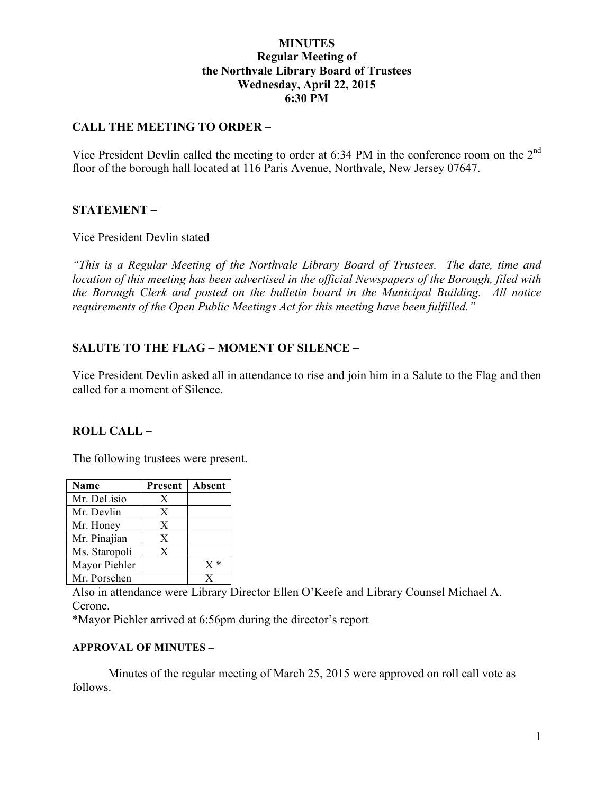### **MINUTES Regular Meeting of the Northvale Library Board of Trustees Wednesday, April 22, 2015 6:30 PM**

## **CALL THE MEETING TO ORDER –**

Vice President Devlin called the meeting to order at 6:34 PM in the conference room on the 2nd floor of the borough hall located at 116 Paris Avenue, Northvale, New Jersey 07647.

### **STATEMENT –**

Vice President Devlin stated

*"This is a Regular Meeting of the Northvale Library Board of Trustees. The date, time and location of this meeting has been advertised in the official Newspapers of the Borough, filed with the Borough Clerk and posted on the bulletin board in the Municipal Building. All notice requirements of the Open Public Meetings Act for this meeting have been fulfilled."* 

### **SALUTE TO THE FLAG – MOMENT OF SILENCE –**

Vice President Devlin asked all in attendance to rise and join him in a Salute to the Flag and then called for a moment of Silence.

#### **ROLL CALL –**

The following trustees were present.

| Name          | Present | Absent |
|---------------|---------|--------|
| Mr. DeLisio   | X       |        |
| Mr. Devlin    | X       |        |
| Mr. Honey     | X       |        |
| Mr. Pinajian  | X       |        |
| Ms. Staropoli | X       |        |
| Mayor Piehler |         | $X^*$  |
| Mr. Porschen  |         | x      |

Also in attendance were Library Director Ellen O'Keefe and Library Counsel Michael A. Cerone.

\*Mayor Piehler arrived at 6:56pm during the director's report

#### **APPROVAL OF MINUTES –**

Minutes of the regular meeting of March 25, 2015 were approved on roll call vote as follows.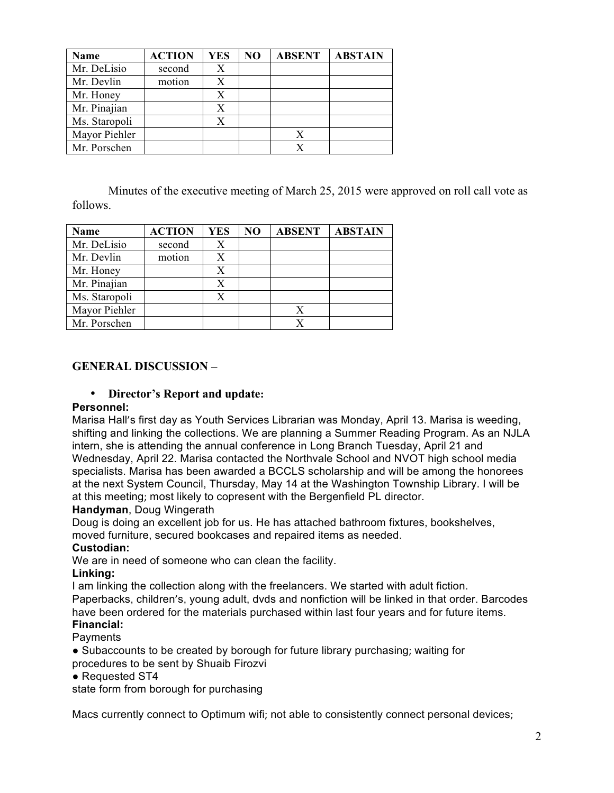| <b>Name</b>   | <b>ACTION</b> | <b>YES</b> | N <sub>O</sub> | <b>ABSENT</b> | <b>ABSTAIN</b> |
|---------------|---------------|------------|----------------|---------------|----------------|
| Mr. DeLisio   | second        | X          |                |               |                |
| Mr. Devlin    | motion        |            |                |               |                |
| Mr. Honey     |               |            |                |               |                |
| Mr. Pinajian  |               |            |                |               |                |
| Ms. Staropoli |               | X          |                |               |                |
| Mayor Piehler |               |            |                |               |                |
| Mr. Porschen  |               |            |                |               |                |

Minutes of the executive meeting of March 25, 2015 were approved on roll call vote as follows.

| Name          | <b>ACTION</b> | YES | NO | <b>ABSENT</b> | <b>ABSTAIN</b> |
|---------------|---------------|-----|----|---------------|----------------|
| Mr. DeLisio   | second        |     |    |               |                |
| Mr. Devlin    | motion        |     |    |               |                |
| Mr. Honey     |               | X   |    |               |                |
| Mr. Pinajian  |               |     |    |               |                |
| Ms. Staropoli |               |     |    |               |                |
| Mayor Piehler |               |     |    | Х             |                |
| Mr. Porschen  |               |     |    |               |                |

## **GENERAL DISCUSSION –**

### • **Director's Report and update:**

#### **Personnel:**

Marisa Hall's first day as Youth Services Librarian was Monday, April 13. Marisa is weeding, shifting and linking the collections. We are planning a Summer Reading Program. As an NJLA intern, she is attending the annual conference in Long Branch Tuesday, April 21 and Wednesday, April 22. Marisa contacted the Northvale School and NVOT high school media specialists. Marisa has been awarded a BCCLS scholarship and will be among the honorees at the next System Council, Thursday, May 14 at the Washington Township Library. I will be at this meeting; most likely to copresent with the Bergenfield PL director.

#### **Handyman**, Doug Wingerath

Doug is doing an excellent job for us. He has attached bathroom fixtures, bookshelves, moved furniture, secured bookcases and repaired items as needed.

## **Custodian:**

We are in need of someone who can clean the facility.

#### **Linking:**

I am linking the collection along with the freelancers. We started with adult fiction.

Paperbacks, children's, young adult, dvds and nonfiction will be linked in that order. Barcodes have been ordered for the materials purchased within last four years and for future items. **Financial:**

## **Payments**

● Subaccounts to be created by borough for future library purchasing; waiting for procedures to be sent by Shuaib Firozvi

#### ● Requested ST4

state form from borough for purchasing

Macs currently connect to Optimum wifi; not able to consistently connect personal devices;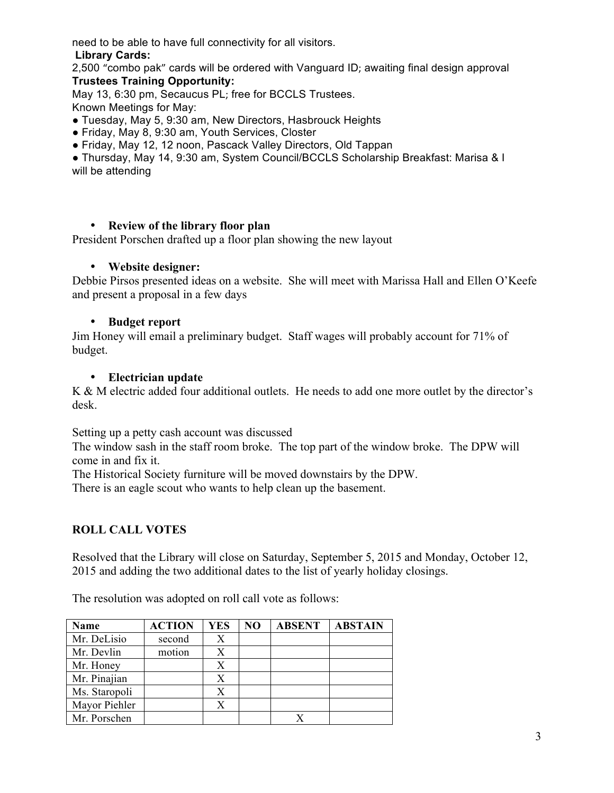need to be able to have full connectivity for all visitors.

## **Library Cards:**

2,500 "combo pak" cards will be ordered with Vanguard ID; awaiting final design approval **Trustees Training Opportunity:**

May 13, 6:30 pm, Secaucus PL; free for BCCLS Trustees.

Known Meetings for May:

- Tuesday, May 5, 9:30 am, New Directors, Hasbrouck Heights
- Friday, May 8, 9:30 am, Youth Services, Closter
- Friday, May 12, 12 noon, Pascack Valley Directors, Old Tappan

● Thursday, May 14, 9:30 am, System Council/BCCLS Scholarship Breakfast: Marisa & I will be attending

## • **Review of the library floor plan**

President Porschen drafted up a floor plan showing the new layout

## • **Website designer:**

Debbie Pirsos presented ideas on a website. She will meet with Marissa Hall and Ellen O'Keefe and present a proposal in a few days

## • **Budget report**

Jim Honey will email a preliminary budget. Staff wages will probably account for 71% of budget.

## • **Electrician update**

K & M electric added four additional outlets. He needs to add one more outlet by the director's desk.

Setting up a petty cash account was discussed

The window sash in the staff room broke. The top part of the window broke. The DPW will come in and fix it.

The Historical Society furniture will be moved downstairs by the DPW.

There is an eagle scout who wants to help clean up the basement.

# **ROLL CALL VOTES**

Resolved that the Library will close on Saturday, September 5, 2015 and Monday, October 12, 2015 and adding the two additional dates to the list of yearly holiday closings.

**Name ACTION YES NO ABSENT ABSTAIN** Mr. DeLisio second X Mr. Devlin | motion | X Mr. Honey X Mr. Pinajian X Ms. Staropoli X Mayor Piehler X Mr. Porschen X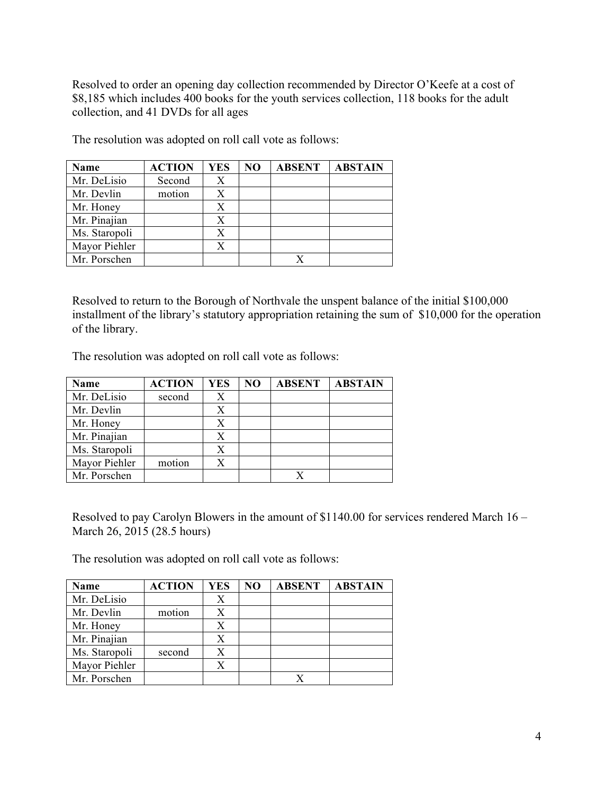Resolved to order an opening day collection recommended by Director O'Keefe at a cost of \$8,185 which includes 400 books for the youth services collection, 118 books for the adult collection, and 41 DVDs for all ages

| Name          | <b>ACTION</b> | <b>YES</b> | NO | <b>ABSENT</b> | <b>ABSTAIN</b> |
|---------------|---------------|------------|----|---------------|----------------|
| Mr. DeLisio   | Second        | X          |    |               |                |
| Mr. Devlin    | motion        | X          |    |               |                |
| Mr. Honey     |               | Х          |    |               |                |
| Mr. Pinajian  |               | X          |    |               |                |
| Ms. Staropoli |               | Х          |    |               |                |
| Mayor Piehler |               | X          |    |               |                |
| Mr. Porschen  |               |            |    |               |                |

The resolution was adopted on roll call vote as follows:

Resolved to return to the Borough of Northvale the unspent balance of the initial \$100,000 installment of the library's statutory appropriation retaining the sum of \$10,000 for the operation of the library.

The resolution was adopted on roll call vote as follows:

| Name          | <b>ACTION</b> | <b>YES</b> | NO | <b>ABSENT</b> | <b>ABSTAIN</b> |
|---------------|---------------|------------|----|---------------|----------------|
| Mr. DeLisio   | second        |            |    |               |                |
| Mr. Devlin    |               |            |    |               |                |
| Mr. Honey     |               | X          |    |               |                |
| Mr. Pinajian  |               |            |    |               |                |
| Ms. Staropoli |               |            |    |               |                |
| Mayor Piehler | motion        |            |    |               |                |
| Mr. Porschen  |               |            |    |               |                |

Resolved to pay Carolyn Blowers in the amount of \$1140.00 for services rendered March 16 – March 26, 2015 (28.5 hours)

| <b>Name</b>   | <b>ACTION</b> | <b>YES</b> | N <sub>O</sub> | <b>ABSENT</b> | <b>ABSTAIN</b> |
|---------------|---------------|------------|----------------|---------------|----------------|
| Mr. DeLisio   |               | X          |                |               |                |
| Mr. Devlin    | motion        | X          |                |               |                |
| Mr. Honey     |               | X          |                |               |                |
| Mr. Pinajian  |               | X          |                |               |                |
| Ms. Staropoli | second        | X          |                |               |                |
| Mayor Piehler |               |            |                |               |                |
| Mr. Porschen  |               |            |                |               |                |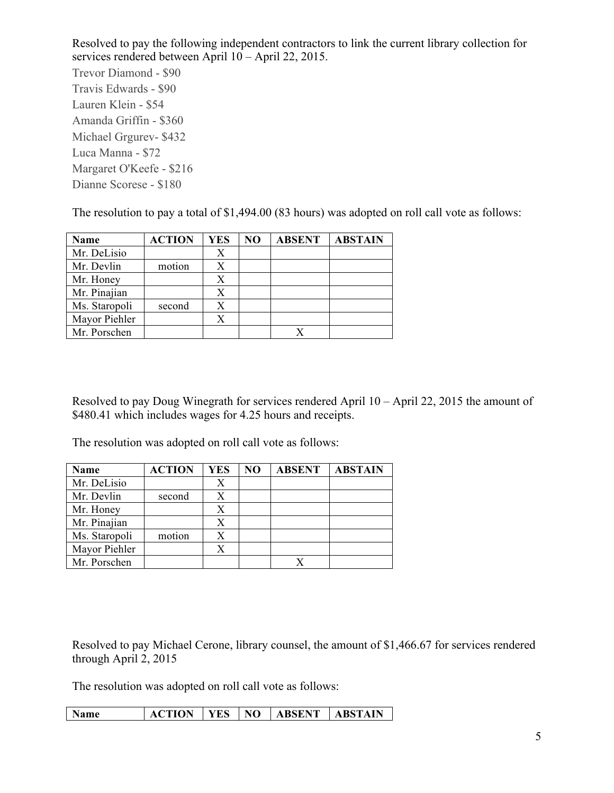Resolved to pay the following independent contractors to link the current library collection for services rendered between April 10 – April 22, 2015. Trevor Diamond - \$90 Travis Edwards - \$90 Lauren Klein - \$54 Amanda Griffin - \$360 Michael Grgurev- \$432 Luca Manna - \$72 Margaret O'Keefe - \$216 Dianne Scorese - \$180

The resolution to pay a total of \$1,494.00 (83 hours) was adopted on roll call vote as follows:

| Name          | <b>ACTION</b> | YES | N <sub>O</sub> | <b>ABSENT</b> | <b>ABSTAIN</b> |
|---------------|---------------|-----|----------------|---------------|----------------|
| Mr. DeLisio   |               | Χ   |                |               |                |
| Mr. Devlin    | motion        | X   |                |               |                |
| Mr. Honey     |               | X   |                |               |                |
| Mr. Pinajian  |               | Х   |                |               |                |
| Ms. Staropoli | second        | X   |                |               |                |
| Mayor Piehler |               | X   |                |               |                |
| Mr. Porschen  |               |     |                |               |                |

Resolved to pay Doug Winegrath for services rendered April 10 – April 22, 2015 the amount of \$480.41 which includes wages for 4.25 hours and receipts.

The resolution was adopted on roll call vote as follows:

| <b>Name</b>   | <b>ACTION</b> | <b>YES</b> | N <sub>O</sub> | <b>ABSENT</b> | <b>ABSTAIN</b> |
|---------------|---------------|------------|----------------|---------------|----------------|
| Mr. DeLisio   |               | X          |                |               |                |
| Mr. Devlin    | second        | X          |                |               |                |
| Mr. Honey     |               | Х          |                |               |                |
| Mr. Pinajian  |               | X          |                |               |                |
| Ms. Staropoli | motion        | X          |                |               |                |
| Mayor Piehler |               | X          |                |               |                |
| Mr. Porschen  |               |            |                |               |                |

Resolved to pay Michael Cerone, library counsel, the amount of \$1,466.67 for services rendered through April 2, 2015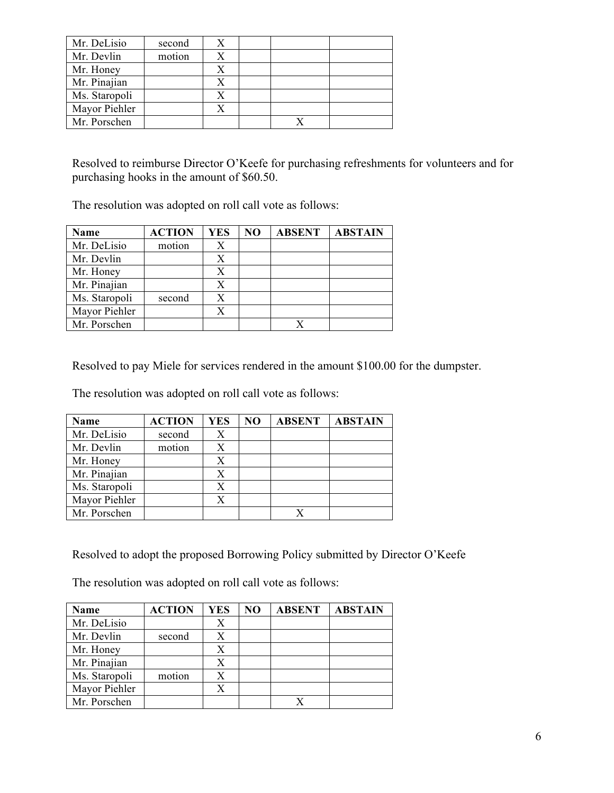| Mr. DeLisio   | second |  |  |
|---------------|--------|--|--|
| Mr. Devlin    | motion |  |  |
| Mr. Honey     |        |  |  |
| Mr. Pinajian  |        |  |  |
| Ms. Staropoli |        |  |  |
| Mayor Piehler |        |  |  |
| Mr. Porschen  |        |  |  |

Resolved to reimburse Director O'Keefe for purchasing refreshments for volunteers and for purchasing hooks in the amount of \$60.50.

The resolution was adopted on roll call vote as follows:

| <b>Name</b>   | <b>ACTION</b> | <b>YES</b> | N <sub>O</sub> | <b>ABSENT</b> | <b>ABSTAIN</b> |
|---------------|---------------|------------|----------------|---------------|----------------|
| Mr. DeLisio   | motion        | Χ          |                |               |                |
| Mr. Devlin    |               |            |                |               |                |
| Mr. Honey     |               | X          |                |               |                |
| Mr. Pinajian  |               |            |                |               |                |
| Ms. Staropoli | second        |            |                |               |                |
| Mayor Piehler |               |            |                |               |                |
| Mr. Porschen  |               |            |                |               |                |

Resolved to pay Miele for services rendered in the amount \$100.00 for the dumpster.

The resolution was adopted on roll call vote as follows:

| <b>Name</b>   | <b>ACTION</b> | YES | N <sub>O</sub> | <b>ABSENT</b> | <b>ABSTAIN</b> |
|---------------|---------------|-----|----------------|---------------|----------------|
| Mr. DeLisio   | second        | Χ   |                |               |                |
| Mr. Devlin    | motion        |     |                |               |                |
| Mr. Honey     |               | X   |                |               |                |
| Mr. Pinajian  |               |     |                |               |                |
| Ms. Staropoli |               |     |                |               |                |
| Mayor Piehler |               |     |                |               |                |
| Mr. Porschen  |               |     |                |               |                |

Resolved to adopt the proposed Borrowing Policy submitted by Director O'Keefe

| Name          | <b>ACTION</b> | <b>YES</b> | NO | <b>ABSENT</b> | <b>ABSTAIN</b> |
|---------------|---------------|------------|----|---------------|----------------|
| Mr. DeLisio   |               |            |    |               |                |
| Mr. Devlin    | second        |            |    |               |                |
| Mr. Honey     |               | X          |    |               |                |
| Mr. Pinajian  |               |            |    |               |                |
| Ms. Staropoli | motion        |            |    |               |                |
| Mayor Piehler |               |            |    |               |                |
| Mr. Porschen  |               |            |    |               |                |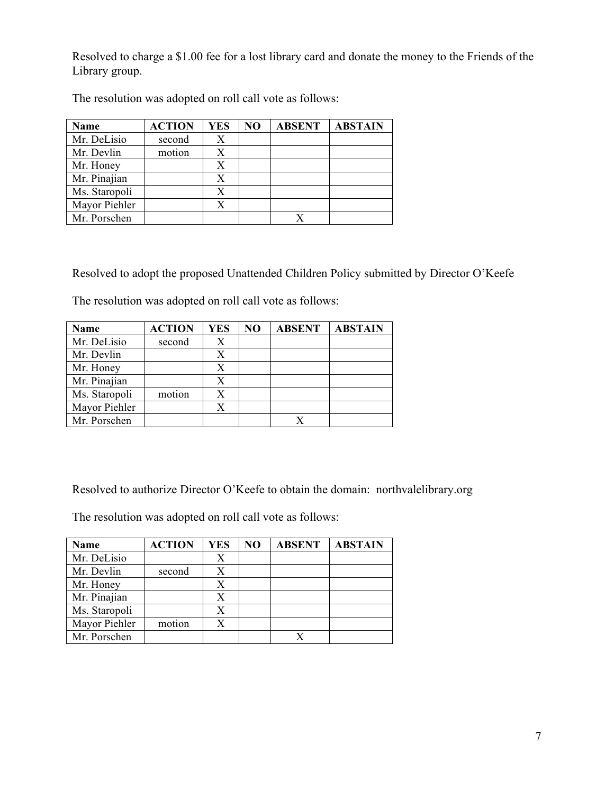Resolved to charge a \$1.00 fee for a lost library card and donate the money to the Friends of the Library group.

| Name          | <b>ACTION</b> | <b>YES</b> | NO | <b>ABSENT</b> | <b>ABSTAIN</b> |
|---------------|---------------|------------|----|---------------|----------------|
| Mr. DeLisio   | second        |            |    |               |                |
| Mr. Devlin    | motion        |            |    |               |                |
| Mr. Honey     |               |            |    |               |                |
| Mr. Pinajian  |               |            |    |               |                |
| Ms. Staropoli |               |            |    |               |                |
| Mayor Piehler |               |            |    |               |                |
| Mr. Porschen  |               |            |    |               |                |

The resolution was adopted on roll call vote as follows:

Resolved to adopt the proposed Unattended Children Policy submitted by Director O'Keefe

The resolution was adopted on roll call vote as follows:

| Name          | <b>ACTION</b> | YES | NO | <b>ABSENT</b> | <b>ABSTAIN</b> |
|---------------|---------------|-----|----|---------------|----------------|
| Mr. DeLisio   | second        | Х   |    |               |                |
| Mr. Devlin    |               | Х   |    |               |                |
| Mr. Honey     |               | Х   |    |               |                |
| Mr. Pinajian  |               | X   |    |               |                |
| Ms. Staropoli | motion        | X   |    |               |                |
| Mayor Piehler |               | X   |    |               |                |
| Mr. Porschen  |               |     |    |               |                |

Resolved to authorize Director O'Keefe to obtain the domain: northvalelibrary.org

| <b>Name</b>   | <b>ACTION</b> | <b>YES</b> | N <sub>O</sub> | <b>ABSENT</b> | <b>ABSTAIN</b> |
|---------------|---------------|------------|----------------|---------------|----------------|
| Mr. DeLisio   |               | Χ          |                |               |                |
| Mr. Devlin    | second        | X          |                |               |                |
| Mr. Honey     |               | X          |                |               |                |
| Mr. Pinajian  |               | X          |                |               |                |
| Ms. Staropoli |               | X          |                |               |                |
| Mayor Piehler | motion        |            |                |               |                |
| Mr. Porschen  |               |            |                |               |                |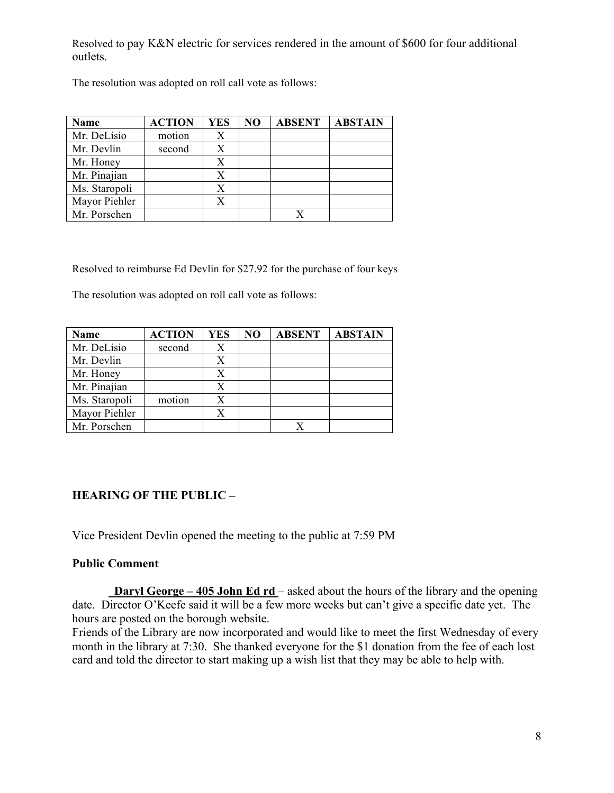Resolved to pay K&N electric for services rendered in the amount of \$600 for four additional outlets.

The resolution was adopted on roll call vote as follows:

| <b>Name</b>   | <b>ACTION</b> | <b>YES</b> | N <sub>O</sub> | <b>ABSENT</b> | <b>ABSTAIN</b> |
|---------------|---------------|------------|----------------|---------------|----------------|
| Mr. DeLisio   | motion        | Х          |                |               |                |
| Mr. Devlin    | second        |            |                |               |                |
| Mr. Honey     |               |            |                |               |                |
| Mr. Pinajian  |               | Χ          |                |               |                |
| Ms. Staropoli |               |            |                |               |                |
| Mayor Piehler |               | X          |                |               |                |
| Mr. Porschen  |               |            |                |               |                |

Resolved to reimburse Ed Devlin for \$27.92 for the purchase of four keys

The resolution was adopted on roll call vote as follows:

| Name          | <b>ACTION</b> | YES | N <sub>O</sub> | <b>ABSENT</b> | <b>ABSTAIN</b> |
|---------------|---------------|-----|----------------|---------------|----------------|
| Mr. DeLisio   | second        | Х   |                |               |                |
| Mr. Devlin    |               |     |                |               |                |
| Mr. Honey     |               | Х   |                |               |                |
| Mr. Pinajian  |               |     |                |               |                |
| Ms. Staropoli | motion        |     |                |               |                |
| Mayor Piehler |               |     |                |               |                |
| Mr. Porschen  |               |     |                |               |                |

## **HEARING OF THE PUBLIC –**

Vice President Devlin opened the meeting to the public at 7:59 PM

#### **Public Comment**

**Daryl George – 405 John Ed rd** – asked about the hours of the library and the opening date. Director O'Keefe said it will be a few more weeks but can't give a specific date yet. The hours are posted on the borough website.

Friends of the Library are now incorporated and would like to meet the first Wednesday of every month in the library at 7:30. She thanked everyone for the \$1 donation from the fee of each lost card and told the director to start making up a wish list that they may be able to help with.